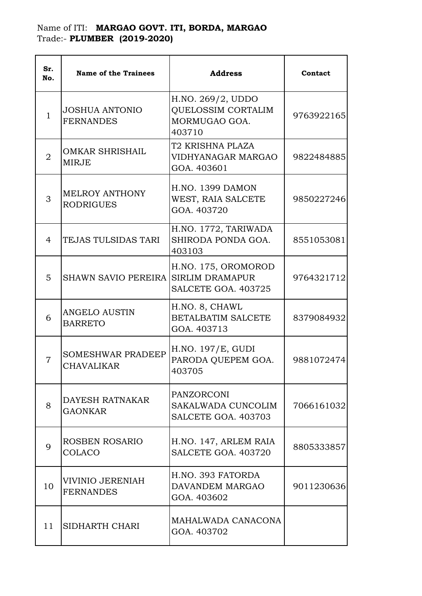## Name of ITI: **MARGAO GOVT. ITI, BORDA, MARGAO**  Trade:- **PLUMBER (2019-2020)**

| Sr.<br>No.     | <b>Name of the Trainees</b>                   | <b>Address</b>                                                            | Contact    |
|----------------|-----------------------------------------------|---------------------------------------------------------------------------|------------|
| $\mathbf 1$    | <b>JOSHUA ANTONIO</b><br><b>FERNANDES</b>     | H.NO. 269/2, UDDO<br><b>QUELOSSIM CORTALIM</b><br>MORMUGAO GOA.<br>403710 | 9763922165 |
| $\overline{2}$ | <b>OMKAR SHRISHAIL</b><br><b>MIRJE</b>        | T2 KRISHNA PLAZA<br>VIDHYANAGAR MARGAO<br>GOA. 403601                     | 9822484885 |
| 3              | <b>MELROY ANTHONY</b><br><b>RODRIGUES</b>     | <b>H.NO. 1399 DAMON</b><br>WEST, RAIA SALCETE<br>GOA. 403720              | 9850227246 |
| 4              | TEJAS TULSIDAS TARI                           | H.NO. 1772, TARIWADA<br>SHIRODA PONDA GOA.<br>403103                      | 8551053081 |
| 5              | <b>SHAWN SAVIO PEREIRA</b>                    | H.NO. 175, OROMOROD<br><b>SIRLIM DRAMAPUR</b><br>SALCETE GOA. 403725      | 9764321712 |
| 6              | <b>ANGELO AUSTIN</b><br><b>BARRETO</b>        | H.NO. 8, CHAWL<br><b>BETALBATIM SALCETE</b><br>GOA. 403713                | 8379084932 |
| 7              | <b>SOMESHWAR PRADEEP</b><br><b>CHAVALIKAR</b> | H.NO. 197/E, GUDI<br>PARODA QUEPEM GOA.<br>403705                         | 9881072474 |
| 8              | DAYESH RATNAKAR<br><b>GAONKAR</b>             | <b>PANZORCONI</b><br>SAKALWADA CUNCOLIM<br>SALCETE GOA. 403703            | 7066161032 |
| 9              | ROSBEN ROSARIO<br>COLACO                      | H.NO. 147, ARLEM RAIA<br>SALCETE GOA. 403720                              | 8805333857 |
| 10             | VIVINIO JERENIAH<br><b>FERNANDES</b>          | H.NO. 393 FATORDA<br>DAVANDEM MARGAO<br>GOA. 403602                       | 9011230636 |
| 11             | SIDHARTH CHARI                                | MAHALWADA CANACONA<br>GOA. 403702                                         |            |